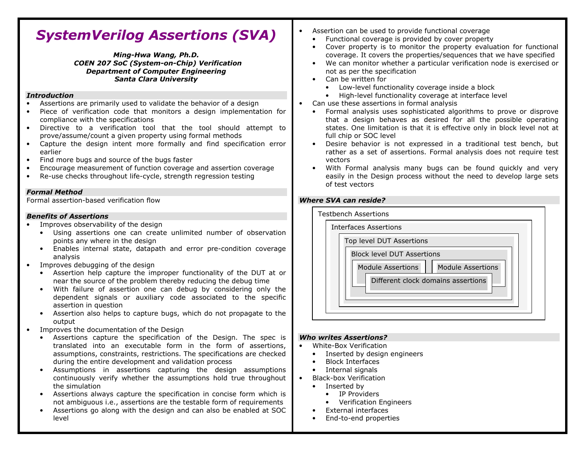# SystemVerilog Assertions (SVA)

Ming-Hwa Wang, Ph.D. COEN 207 SoC (System-on-Chip) Verification Department of Computer Engineering Santa Clara University

#### Introduction

- Assertions are primarily used to validate the behavior of a design
- Piece of verification code that monitors a design implementation for compliance with the specifications
- Directive to a verification tool that the tool should attempt to prove/assume/count a given property using formal methods
- Capture the design intent more formally and find specification error •earlier
- Find more bugs and source of the bugs faster •
- •Encourage measurement of function coverage and assertion coverage
- •Re-use checks throughout life-cycle, strength regression testing

### Formal Method

Formal assertion-based verification flow

### Benefits of Assertions

- Improves observability of the design
	- Using assertions one can create unlimited number of observation points any where in the design
	- Enables internal state, datapath and error pre-condition coverage analysis
- Improves debugging of the design •
	- Assertion help capture the improper functionality of the DUT at or near the source of the problem thereby reducing the debug time
	- With failure of assertion one can debug by considering only the dependent signals or auxiliary code associated to the specific assertion in question
	- Assertion also helps to capture bugs, which do not propagate to the output
- Improves the documentation of the Design
	- • Assertions capture the specification of the Design. The spec is translated into an executable form in the form of assertions, assumptions, constraints, restrictions. The specifications are checked during the entire development and validation process
	- Assumptions in assertions capturing the design assumptions continuously verify whether the assumptions hold true throughout the simulation
	- Assertions always capture the specification in concise form which is not ambiguous i.e., assertions are the testable form of requirements
	- Assertions go along with the design and can also be enabled at SOC level
- • Assertion can be used to provide functional coverage
	- Functional coverage is provided by cover property
	- • Cover property is to monitor the property evaluation for functional coverage. It covers the properties/sequences that we have specified
	- We can monitor whether a particular verification node is exercised or •not as per the specification
	- Can be written for

•

- Low-level functionality coverage inside a block
- High-level functionality coverage at interface level
- Can use these assertions in formal analysis
	- • Formal analysis uses sophisticated algorithms to prove or disprove that a design behaves as desired for all the possible operating states. One limitation is that it is effective only in block level not at full chip or SOC level
	- Desire behavior is not expressed in a traditional test bench, but •rather as a set of assertions. Formal analysis does not require test vectors
	- With Formal analysis many bugs can be found quickly and very •easily in the Design process without the need to develop large sets of test vectors

## Where SVA can reside?



#### Who writes Assertions?

- White-Box Verification
	- •Inserted by design engineers
	- Block Interfaces
	- Internal signals
- Black-box Verification
	- Inserted by

•

- IP Providers
- Verification Engineers
- •External interfaces
- •End-to-end properties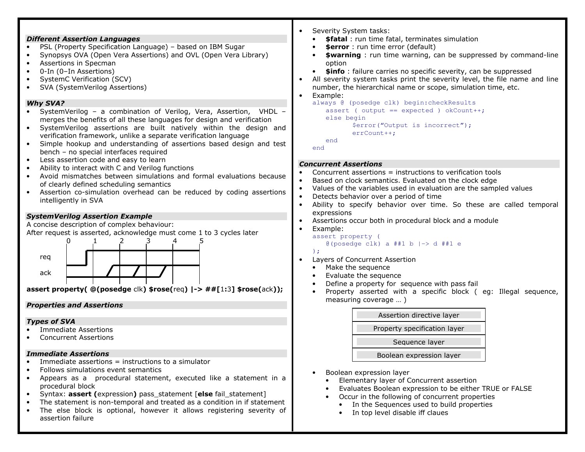|                                                                                                                                                                                                                                                                                                                                                                                                                                                                               | Severity System tasks:                                                                                                                                                                                                                                                                                                                                    |
|-------------------------------------------------------------------------------------------------------------------------------------------------------------------------------------------------------------------------------------------------------------------------------------------------------------------------------------------------------------------------------------------------------------------------------------------------------------------------------|-----------------------------------------------------------------------------------------------------------------------------------------------------------------------------------------------------------------------------------------------------------------------------------------------------------------------------------------------------------|
| <b>Different Assertion Languages</b>                                                                                                                                                                                                                                                                                                                                                                                                                                          | <b>\$fatal</b> : run time fatal, terminates simulation<br>$\bullet$                                                                                                                                                                                                                                                                                       |
| PSL (Property Specification Language) - based on IBM Sugar<br>Synopsys OVA (Open Vera Assertions) and OVL (Open Vera Library)<br>Assertions in Specman<br>0-In (0-In Assertions)<br>$\bullet$<br>SystemC Verification (SCV)<br>$\bullet$<br>SVA (SystemVerilog Assertions)<br>$\bullet$                                                                                                                                                                                       | \$error: run time error (default)<br>\$warning : run time warning, can be suppressed by command-line<br>option<br>\$info: failure carries no specific severity, can be suppressed<br>$\bullet$<br>All severity system tasks print the severity level, the file name and line<br>number, the hierarchical name or scope, simulation time, etc.<br>Example: |
| <b>Why SVA?</b><br>SystemVerilog - a combination of Verilog, Vera, Assertion, VHDL -<br>merges the benefits of all these languages for design and verification<br>SystemVerilog assertions are built natively within the design and<br>$\bullet$<br>verification framework, unlike a separate verification language<br>Simple hookup and understanding of assertions based design and test<br>bench - no special interfaces required<br>Less assertion code and easy to learn | always @ (posedge clk) begin: checkResults<br>assert ( output == expected ) okCount++;<br>else begin<br>\$error("Output is incorrect");<br>$errCount++;$<br>end<br>end                                                                                                                                                                                    |
| Ability to interact with C and Verilog functions<br>$\bullet$                                                                                                                                                                                                                                                                                                                                                                                                                 | <b>Concurrent Assertions</b>                                                                                                                                                                                                                                                                                                                              |
| Avoid mismatches between simulations and formal evaluations because<br>$\bullet$<br>of clearly defined scheduling semantics<br>Assertion co-simulation overhead can be reduced by coding assertions<br>intelligently in SVA                                                                                                                                                                                                                                                   | Concurrent assertions = instructions to verification tools<br>Based on clock semantics. Evaluated on the clock edge<br>Values of the variables used in evaluation are the sampled values<br>Detects behavior over a period of time<br>Ability to specify behavior over time. So these are called temporal<br>$\bullet$                                    |
| <b>SystemVerilog Assertion Example</b>                                                                                                                                                                                                                                                                                                                                                                                                                                        | expressions                                                                                                                                                                                                                                                                                                                                               |
| A concise description of complex behaviour:                                                                                                                                                                                                                                                                                                                                                                                                                                   | Assertions occur both in procedural block and a module<br>$\bullet$                                                                                                                                                                                                                                                                                       |
| After request is asserted, acknowledge must come 1 to 3 cycles later                                                                                                                                                                                                                                                                                                                                                                                                          | Example:<br>assert property (                                                                                                                                                                                                                                                                                                                             |
| reg<br>ack<br>assert property( $\mathcal{Q}(\text{posedge } c k)$ \$rose(req)  -> ##[1:3] \$rose(ack));                                                                                                                                                                                                                                                                                                                                                                       | @(posedge clk) a ##1 b $ ->$ d ##1 e<br>$\rightarrow$<br>Layers of Concurrent Assertion<br>Make the sequence<br>$\bullet$<br>Evaluate the sequence<br>$\bullet$<br>Define a property for sequence with pass fail<br>$\bullet$<br>Property asserted with a specific block (eg: Illegal sequence,<br>$\bullet$                                              |
| <b>Properties and Assertions</b>                                                                                                                                                                                                                                                                                                                                                                                                                                              | measuring coverage  )                                                                                                                                                                                                                                                                                                                                     |
| <b>Types of SVA</b>                                                                                                                                                                                                                                                                                                                                                                                                                                                           | Assertion directive layer                                                                                                                                                                                                                                                                                                                                 |
| <b>Immediate Assertions</b>                                                                                                                                                                                                                                                                                                                                                                                                                                                   | Property specification layer                                                                                                                                                                                                                                                                                                                              |
| <b>Concurrent Assertions</b>                                                                                                                                                                                                                                                                                                                                                                                                                                                  | Sequence layer                                                                                                                                                                                                                                                                                                                                            |
|                                                                                                                                                                                                                                                                                                                                                                                                                                                                               |                                                                                                                                                                                                                                                                                                                                                           |
| <b>Immediate Assertions</b><br>Immediate assertions $=$ instructions to a simulator                                                                                                                                                                                                                                                                                                                                                                                           | Boolean expression layer                                                                                                                                                                                                                                                                                                                                  |
| Follows simulations event semantics                                                                                                                                                                                                                                                                                                                                                                                                                                           |                                                                                                                                                                                                                                                                                                                                                           |
| Appears as a procedural statement, executed like a statement in a                                                                                                                                                                                                                                                                                                                                                                                                             | Boolean expression layer<br>$\bullet$<br>Elementary layer of Concurrent assertion<br>$\bullet$                                                                                                                                                                                                                                                            |
| procedural block                                                                                                                                                                                                                                                                                                                                                                                                                                                              | Evaluates Boolean expression to be either TRUE or FALSE<br>$\bullet$                                                                                                                                                                                                                                                                                      |
| Syntax: assert (expression) pass_statement [else fail_statement]                                                                                                                                                                                                                                                                                                                                                                                                              | Occur in the following of concurrent properties                                                                                                                                                                                                                                                                                                           |
| The statement is non-temporal and treated as a condition in if statement                                                                                                                                                                                                                                                                                                                                                                                                      | In the Sequences used to build properties                                                                                                                                                                                                                                                                                                                 |
| The else block is optional, however it allows registering severity of<br>assertion failure                                                                                                                                                                                                                                                                                                                                                                                    | In top level disable iff claues                                                                                                                                                                                                                                                                                                                           |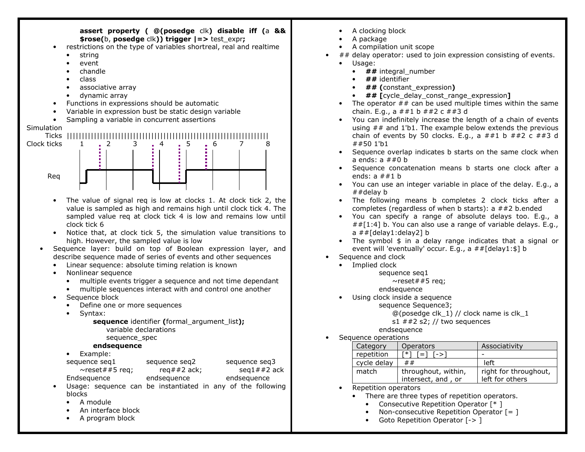

- •A clocking block
- A package
- •A compilation unit scope
- $#$ # delay operator: used to join expression consisting of events.
	- Usage:

•

- ## integral\_number
- ## identifier
- ## (constant\_expression)
- ## [cycle\_delay\_const\_range\_expression]
- The operator ## can be used multiple times within the same chain. E.g., a  $\# \# 1 b \# \# 2 c \# \# 3 d$
- You can indefinitely increase the length of a chain of events using  $##$  and 1'b1. The example below extends the previous chain of events by 50 clocks. E.g., a  $\# \# 1$  b  $\# \# 2$  c  $\# \# 3$  d ##50 1'b1
- Sequence overlap indicates b starts on the same clock when a ends:  $a \# #0 b$
- Sequence concatenation means b starts one clock after a ends:  $a \# #1 b$
- You can use an integer variable in place of the delay. E.g., a ##delay b
- The following means b completes 2 clock ticks after a completes (regardless of when b starts): a ##2 b.ended
- You can specify a range of absolute delays too. E.g., a  $\#$  [1:4] b. You can also use a range of variable delays. E.g., a ##[delay1:delay2] b
- The symbol \$ in a delay range indicates that a signal or event will 'eventually' occur. E.g., a ##[delay1:\$] b
- • Sequence and clock
	- Implied clock

sequence seq1

- $\sim$ reset##5 req;
	- endsequence
	- Using clock inside a sequence •

sequence Sequence3;

 $@($ posedge clk $\_1)$  // clock name is clk $\_1$ s1  $\#2$  s2; // two sequences

- endsequence
- •Sequence operations

| Category    | <b>Operators</b>                           | Associativity                            |
|-------------|--------------------------------------------|------------------------------------------|
| repetition  | $[*]$ $[-]$ $[-]$                          |                                          |
| cycle delay | ##                                         | left                                     |
| match       | throughout, within,<br>intersect, and , or | right for throughout,<br>left for others |

- Repetition operators
	- There are three types of repetition operators.
		- Consecutive Repetition Operator [\* ]
		- Non-consecutive Repetition Operator [= ]
		- Goto Repetition Operator [-> ]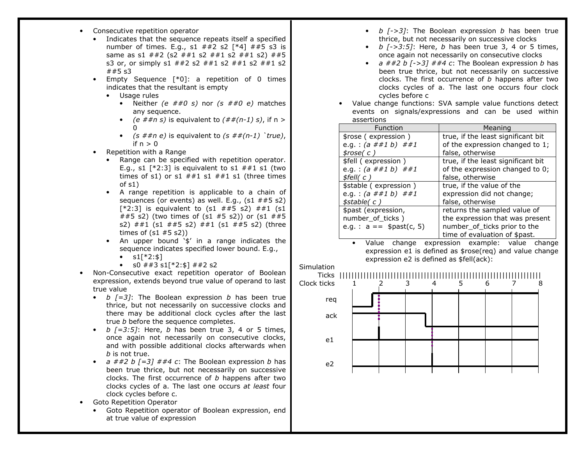- Consecutive repetition operator
	- Indicates that the sequence repeats itself a specified number of times. E.g.,  $s1$  ##2 s2 [\*4] ##5 s3 is same as s1 ##2 (s2 ##1 s2 ##1 s2 ##1 s2) ##5 s3 or, or simply s1 ##2 s2 ##1 s2 ##1 s2 ##1 s2  $##5$  s3
	- Empty Sequence [\*0]: a repetition of 0 times •indicates that the resultant is empty
		- Usage rules
			- Neither *(e ##0 s)* nor *(s ##0 e)* matches any sequence.
			- (e  $\# \# n$  s) is equivalent to  $(\# \# (n-1) s)$ , if n >  $\Omega$
			- $(s \# \# n \ e)$  is equivalent to  $(s \# \# (n-1)$  'true), if  $n > 0$
	- Repetition with a Range •
		- Range can be specified with repetition operator. E.g., s1  $[^*2:3]$  is equivalent to s1  $\#$ #1 s1 (two times of s1) or s1  $\#41$  s1  $\#41$  s1 (three times of s1)
		- A range repetition is applicable to a chain of sequences (or events) as well. E.g.,  $(s1 \# \# 5 \ s2)$  $[*2:3]$  is equivalent to  $(s1 \# #5 \ s2) \# #1 \ (s1$  ##5 s2) (two times of (s1 #5 s2)) or (s1 ##5 s2) ##1 (s1 ##5 s2) ##1 (s1 ##5 s2) (three times of  $(s1 \# 5 \ s2)$
		- An upper bound '\$' in a range indicates the sequence indicates specified lower bound. E.g.,
			- $s1[*2:4]$
			- s0  $\#$  #3 s1[\*2:\$]  $\#$  #2 s2
- • Non-Consecutive exact repetition operator of Boolean expression, extends beyond true value of operand to last true value
	- b  $[-3]$ : The Boolean expression b has been true thrice, but not necessarily on successive clocks and there may be additional clock cycles after the lasttrue *b* before the sequence completes.
	- b  $[-3:5]$ : Here, b has been true 3, 4 or 5 times, once again not necessarily on consecutive clocks, and with possible additional clocks afterwards whenb is not true.
	- $a \neq 2 b [-3] \neq 4 c$ : The Boolean expression b has been true thrice, but not necessarily on successiveclocks. The first occurrence of  $b$  happens after two clocks cycles of a. The last one occurs at least four clock cycles before c.
- Goto Repetition Operator
	- • Goto Repetition operator of Boolean expression, endat true value of expression
- b  $[->3]$ : The Boolean expression b has been true thrice, but not necessarily on successive clocks
- b  $[->3:5]$ : Here, b has been true 3, 4 or 5 times, once again not necessarily on consecutive clocks
- $a \neq 2 b [->3] \neq 4 c$ : The Boolean expression b has been true thrice, but not necessarily on successiveclocks. The first occurrence of  $b$  happens after two clocks cycles of a. The last one occurs four clock cycles before c
- Value change functions: SVA sample value functions detect •events on signals/expressions and can be used within assertions

| Function                    | Meaning                            |
|-----------------------------|------------------------------------|
| \$rose (expression)         | true, if the least significant bit |
| e.g.: $(a # # 1 b) # # 1$   | of the expression changed to 1;    |
| $\frac{1}{2}$ rose(c)       | false, otherwise                   |
| \$fell (expression)         | true, if the least significant bit |
| e.g.: $(a # # 1 b) # # 1$   | of the expression changed to 0;    |
| $$$ fell $( c )$            | false, otherwise                   |
| \$stable (expression)       | true, if the value of the          |
| e.g.: $(a # # 1 b) # # 1$   | expression did not change;         |
| $\frac{4}{5}$ stable(c)     | false, otherwise                   |
| \$past (expression,         | returns the sampled value of       |
| number_of_ticks)            | the expression that was present    |
| e.g. : $a ==$ $$past(c, 5)$ | number_of_ticks prior to the       |
|                             | time of evaluation of \$past.      |

 • Value change expression example: value change expression e1 is defined as \$rose(req) and value change expression e2 is defined as \$fell(ack):



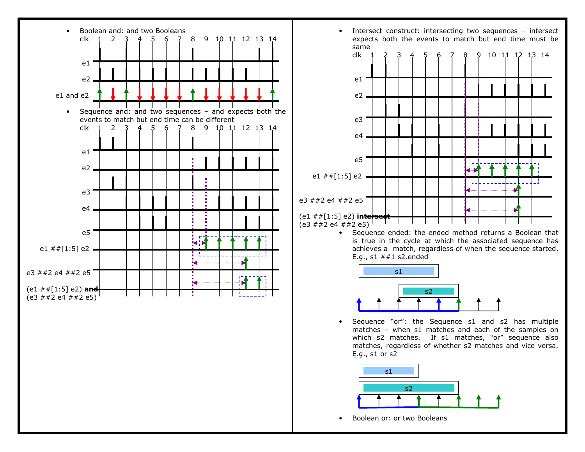



E.g., s1 ##1 s2.ended



• Sequence "or": the Sequence s1 and s2 has multiple matches – when s1 matches and each of the samples on which s2 matches. If s1 matches, "or" sequence also matches, regardless of whether s2 matches and vice versa. E.g., s1 or s2



•Boolean or: or two Booleans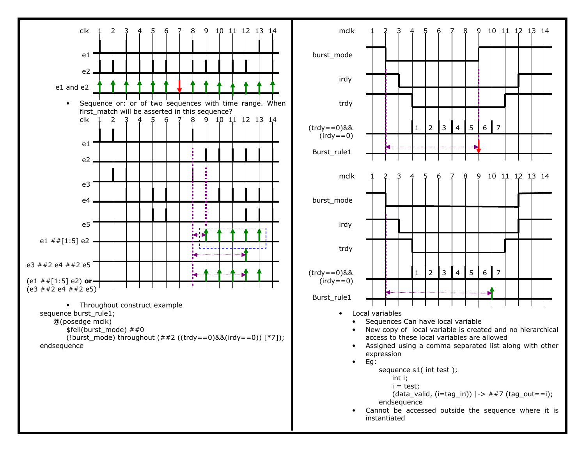

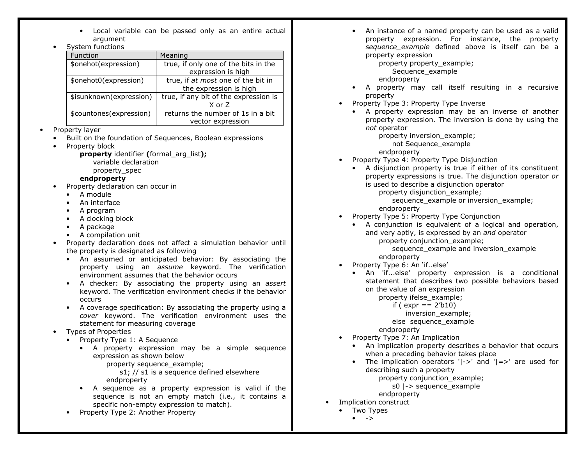- Local variable can be passed only as an entire actual argument
- System functions •

| <u>o , stein i anetions</u> |                                       |
|-----------------------------|---------------------------------------|
| Function                    | Meaning                               |
| \$onehot(expression)        | true, if only one of the bits in the  |
|                             | expression is high                    |
| \$onehot0(expression)       | true, if at most one of the bit in    |
|                             | the expression is high                |
| \$isunknown(expression)     | true, if any bit of the expression is |
|                             | X or Z                                |
| \$countones(expression)     | returns the number of 1s in a bit     |
|                             | vector expression                     |

•Property layer

•

- Built on the foundation of Sequences, Boolean expressions
- •Property block

property identifier (formal arg list); variable declaration property\_spec

# endproperty

- Property declaration can occur in
	- A module
	- •An interface
	- A program
	- A clocking block
	- A package
	- A compilation unit
- Property declaration does not affect a simulation behavior until the property is designated as following
	- An assumed or anticipated behavior: By associating the property using an assume keyword. The verification environment assumes that the behavior occurs
	- A checker: By associating the property using an assert keyword. The verification environment checks if the behavior occurs
	- A coverage specification: By associating the property using a cover keyword. The verification environment uses the statement for measuring coverage
- • Types of Properties
	- Property Type 1: A Sequence
		- A property expression may be a simple sequence expression as shown below
			- property sequence\_example;
			- s1; // s1 is a sequence defined elsewhere endproperty
		- A sequence as a property expression is valid if the sequence is not an empty match (i.e., it contains aspecific non-empty expression to match).
	- •Property Type 2: Another Property

• An instance of a named property can be used as a valid property expression. For instance, the property sequence\_example defined above is itself can be a property expression

 property property\_example; Sequence example

- endproperty
- A property may call itself resulting in a recursiveproperty
- Property Type 3: Property Type Inverse
	- A property expression may be an inverse of another property expression. The inversion is done by using the not operator

property inversion\_example;

not Sequence\_example

endproperty

- Property Type 4: Property Type Disjunction
	- A disjunction property is true if either of its constituent property expressions is true. The disjunction operator oris used to describe a disjunction operator

property disjunction example;

 sequence\_example or inversion\_example; endproperty

- Property Type 5: Property Type Conjunction
	- A conjunction is equivalent of a logical and operation, and very aptly, is expressed by an and operator property conjunction example;

 sequence\_example and inversion\_example endproperty

- Property Type 6: An 'if..else'
	- An 'if...else' property expression is a conditional statement that describes two possible behaviors based on the value of an expression property ifelse\_example;

if (  $expr == 2'b10$ )

inversion\_example;

else sequence\_example

endproperty

- Property Type 7: An Implication •
	- An implication property describes a behavior that occurs when a preceding behavior takes place
	- The implication operators '|->' and '|=>' are used for describing such a property

property conjunction\_example;

s0 |-> sequence\_example

- endproperty
- • Implication construct
	- Two Types
		- $\bullet$  ->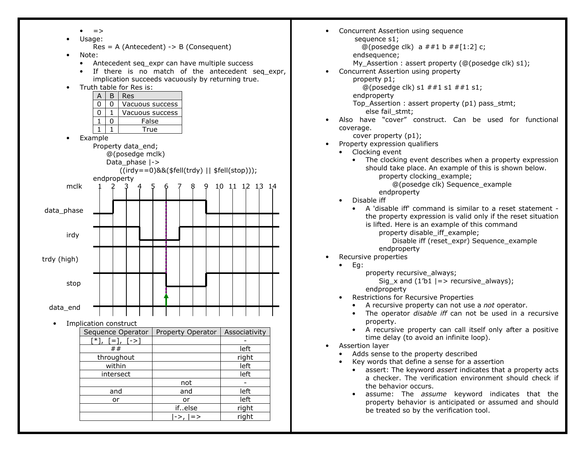